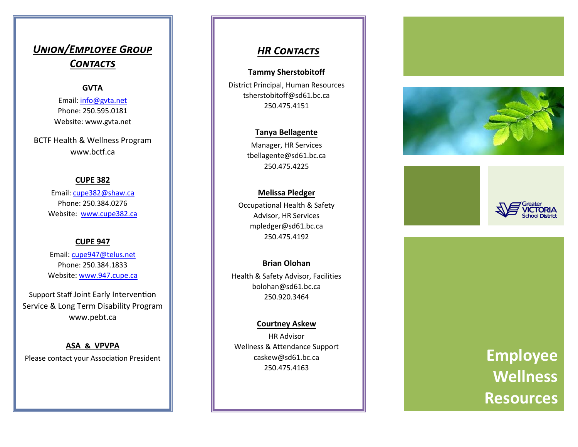# *Union/Employee Group Contacts*

### **GVTA**

Email: [info@gvta.net](mailto:info@gvta.net) Phone: 250.595.0181 Website: www.gvta.net

BCTF Health & Wellness Program www.bctf.ca

#### **CUPE 382**

Email: [cupe382@shaw.ca](mailto:cupe382@shaw.ca) Phone: 250.384.0276 Website: [www.cupe382.ca](http://www.cupe382.ca)

#### **CUPE 947**

Email: [cupe947@telus.net](mailto:cupe947@telus.net) Phone: 250.384.1833 Website: [www.947.cupe.ca](http://www.947.cupe.ca)

Support Staff Joint Early Intervention Service & Long Term Disability Program www.pebt.ca

**ASA & VPVPA** Please contact your Association President

## *HR Contacts*

#### **Tammy Sherstobitoff**

District Principal, Human Resources tsherstobitoff@sd61.bc.ca 250.475.4151

#### **Tanya Bellagente**

Manager, HR Services tbellagente@sd61.bc.ca 250.475.4225

#### **Melissa Pledger**

Occupational Health & Safety Advisor, HR Services mpledger@sd61.bc.ca 250.475.4192

#### **Brian Olohan**

Health & Safety Advisor, Facilities bolohan@sd61.bc.ca 250.920 .3464

#### **Courtney Askew**

HR Advisor Wellness & Attendance Support caskew@sd61.bc.ca 250.475.4163







# **Employee Wellness Resources**